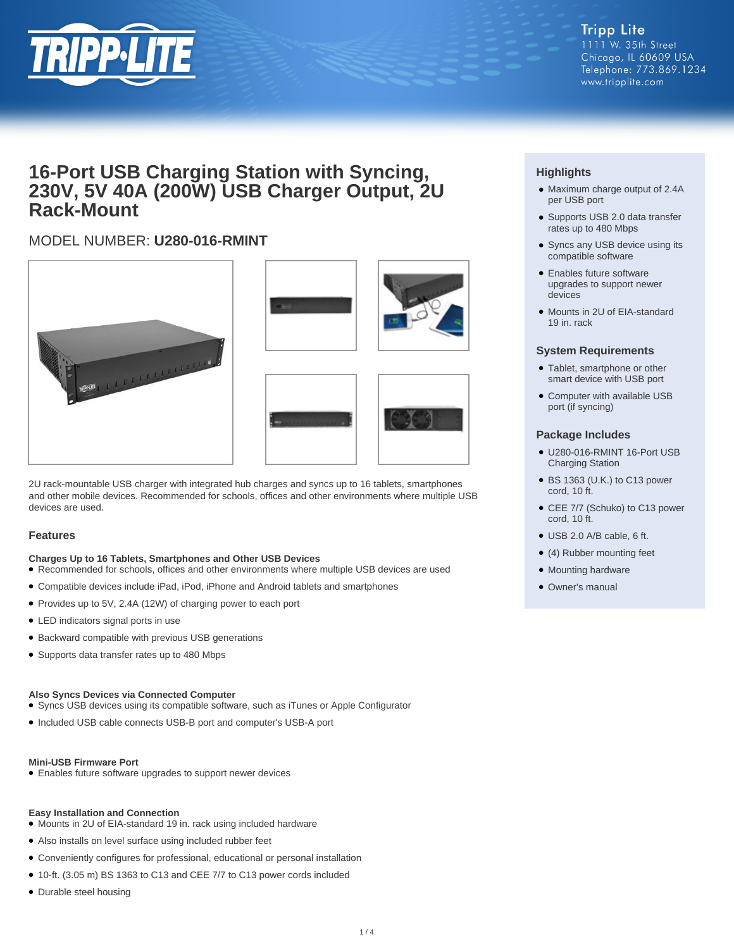

## **16-Port USB Charging Station with Syncing, 230V, 5V 40A (200W) USB Charger Output, 2U Rack-Mount**

### MODEL NUMBER: **U280-016-RMINT**







2U rack-mountable USB charger with integrated hub charges and syncs up to 16 tablets, smartphones and other mobile devices. Recommended for schools, offices and other environments where multiple USB devices are used.

#### **Features**

#### **Charges Up to 16 Tablets, Smartphones and Other USB Devices**

● Recommended for schools, offices and other environments where multiple USB devices are used

- Compatible devices include iPad, iPod, iPhone and Android tablets and smartphones
- Provides up to 5V, 2.4A (12W) of charging power to each port
- LED indicators signal ports in use
- Backward compatible with previous USB generations
- Supports data transfer rates up to 480 Mbps

#### **Also Syncs Devices via Connected Computer**

● Syncs USB devices using its compatible software, such as iTunes or Apple Configurator

● Included USB cable connects USB-B port and computer's USB-A port

#### **Mini-USB Firmware Port**

● Enables future software upgrades to support newer devices

#### **Easy Installation and Connection**

- Mounts in 2U of EIA-standard 19 in. rack using included hardware
- Also installs on level surface using included rubber feet
- Conveniently configures for professional, educational or personal installation
- 10-ft. (3.05 m) BS 1363 to C13 and CEE 7/7 to C13 power cords included
- Durable steel housing

#### **Highlights**

- Maximum charge output of 2.4A per USB port
- Supports USB 2.0 data transfer rates up to 480 Mbps
- Syncs any USB device using its compatible software
- Enables future software upgrades to support newer devices
- Mounts in 2U of EIA-standard 19 in. rack

#### **System Requirements**

- Tablet, smartphone or other smart device with USB port
- Computer with available USB port (if syncing)

#### **Package Includes**

- U280-016-RMINT 16-Port USB Charging Station
- BS 1363 (U.K.) to C13 power cord, 10 ft.
- CEE 7/7 (Schuko) to C13 power cord, 10 ft.
- USB 2.0 A/B cable, 6 ft.
- (4) Rubber mounting feet
- Mounting hardware
- Owner's manual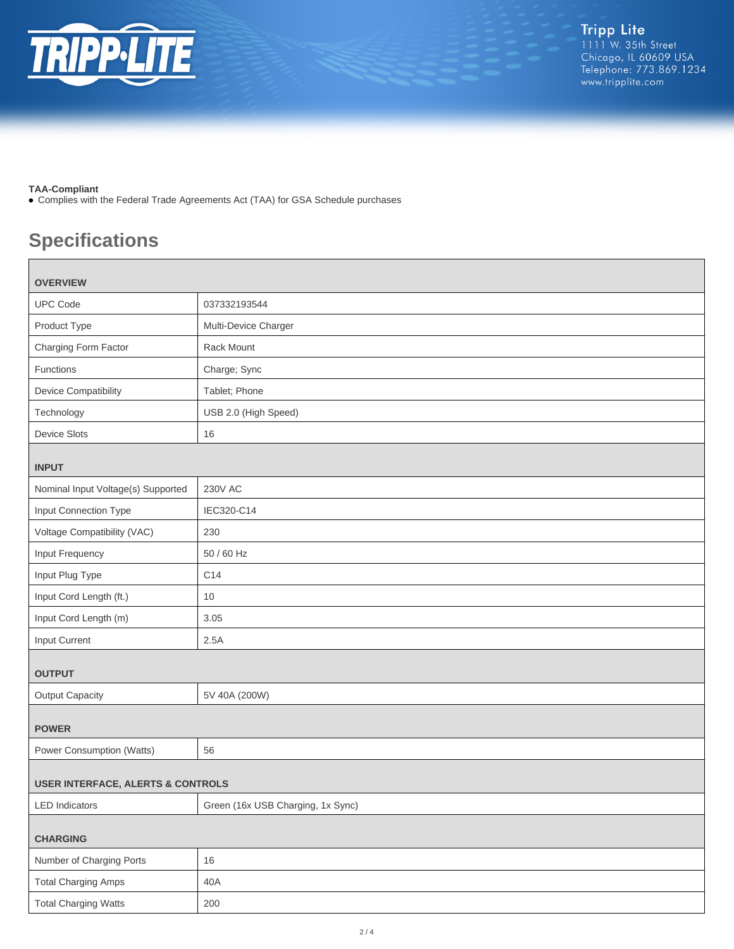

#### **TAA-Compliant**

● Complies with the Federal Trade Agreements Act (TAA) for GSA Schedule purchases

# **Specifications**

| <b>OVERVIEW</b>                              |                                   |  |
|----------------------------------------------|-----------------------------------|--|
| <b>UPC Code</b>                              | 037332193544                      |  |
| Product Type                                 | Multi-Device Charger              |  |
| Charging Form Factor                         | Rack Mount                        |  |
| Functions                                    | Charge; Sync                      |  |
| <b>Device Compatibility</b>                  | Tablet; Phone                     |  |
| Technology                                   | USB 2.0 (High Speed)              |  |
| <b>Device Slots</b>                          | 16                                |  |
| <b>INPUT</b>                                 |                                   |  |
| Nominal Input Voltage(s) Supported           | <b>230V AC</b>                    |  |
| Input Connection Type                        | IEC320-C14                        |  |
| Voltage Compatibility (VAC)                  | 230                               |  |
| Input Frequency                              | 50 / 60 Hz                        |  |
| Input Plug Type                              | C14                               |  |
| Input Cord Length (ft.)                      | 10                                |  |
| Input Cord Length (m)                        | 3.05                              |  |
| Input Current                                | 2.5A                              |  |
| <b>OUTPUT</b>                                |                                   |  |
| <b>Output Capacity</b>                       | 5V 40A (200W)                     |  |
| <b>POWER</b>                                 |                                   |  |
| Power Consumption (Watts)                    | 56                                |  |
| <b>USER INTERFACE, ALERTS &amp; CONTROLS</b> |                                   |  |
| <b>LED</b> Indicators                        | Green (16x USB Charging, 1x Sync) |  |
| <b>CHARGING</b>                              |                                   |  |
| Number of Charging Ports                     | 16                                |  |
| <b>Total Charging Amps</b>                   | 40A                               |  |
| <b>Total Charging Watts</b>                  | 200                               |  |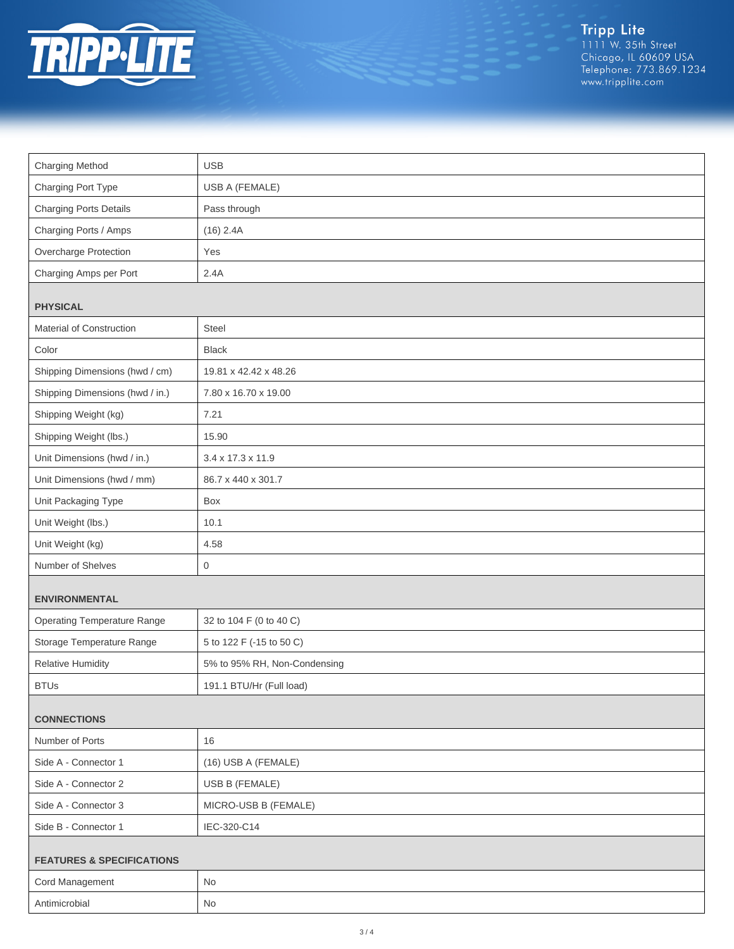

Tripp Lite<br>1111 W. 35th Street<br>Chicago, IL 60609 USA<br>Telephone: 773.869.1234<br>www.tripplite.com

| <b>Charging Method</b>               | <b>USB</b>                   |  |
|--------------------------------------|------------------------------|--|
| Charging Port Type                   | USB A (FEMALE)               |  |
| <b>Charging Ports Details</b>        | Pass through                 |  |
| Charging Ports / Amps                | $(16)$ 2.4A                  |  |
| Overcharge Protection                | Yes                          |  |
| Charging Amps per Port               | 2.4A                         |  |
|                                      |                              |  |
| <b>PHYSICAL</b>                      |                              |  |
| Material of Construction             | <b>Steel</b>                 |  |
| Color                                | <b>Black</b>                 |  |
| Shipping Dimensions (hwd / cm)       | 19.81 x 42.42 x 48.26        |  |
| Shipping Dimensions (hwd / in.)      | 7.80 x 16.70 x 19.00         |  |
| Shipping Weight (kg)                 | 7.21                         |  |
| Shipping Weight (lbs.)               | 15.90                        |  |
| Unit Dimensions (hwd / in.)          | 3.4 x 17.3 x 11.9            |  |
| Unit Dimensions (hwd / mm)           | 86.7 x 440 x 301.7           |  |
| Unit Packaging Type                  | Box                          |  |
| Unit Weight (lbs.)                   | 10.1                         |  |
| Unit Weight (kg)                     | 4.58                         |  |
| Number of Shelves                    | $\mathbf 0$                  |  |
| <b>ENVIRONMENTAL</b>                 |                              |  |
| <b>Operating Temperature Range</b>   | 32 to 104 F (0 to 40 C)      |  |
| Storage Temperature Range            | 5 to 122 F (-15 to 50 C)     |  |
| <b>Relative Humidity</b>             | 5% to 95% RH, Non-Condensing |  |
| <b>BTUs</b>                          | 191.1 BTU/Hr (Full load)     |  |
| <b>CONNECTIONS</b>                   |                              |  |
| Number of Ports                      | 16                           |  |
| Side A - Connector 1                 | (16) USB A (FEMALE)          |  |
| Side A - Connector 2                 | USB B (FEMALE)               |  |
| Side A - Connector 3                 | MICRO-USB B (FEMALE)         |  |
| Side B - Connector 1                 | IEC-320-C14                  |  |
|                                      |                              |  |
| <b>FEATURES &amp; SPECIFICATIONS</b> |                              |  |
| Cord Management                      | No                           |  |
| Antimicrobial                        | $\operatorname{\mathsf{No}}$ |  |